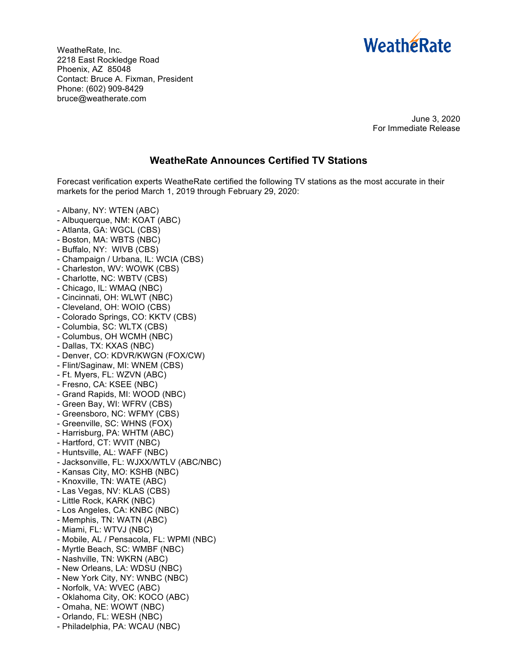

WeatheRate, Inc. 2218 East Rockledge Road Phoenix, AZ 85048 Contact: Bruce A. Fixman, President Phone: (602) 909-8429 bruce@weatherate.com

> June 3, 2020 For Immediate Release

## **WeatheRate Announces Certified TV Stations**

Forecast verification experts WeatheRate certified the following TV stations as the most accurate in their markets for the period March 1, 2019 through February 29, 2020:

- Albany, NY: WTEN (ABC)
- Albuquerque, NM: KOAT (ABC)
- Atlanta, GA: WGCL (CBS)
- Boston, MA: WBTS (NBC)
- Buffalo, NY: WIVB (CBS)
- Champaign / Urbana, IL: WCIA (CBS)
- Charleston, WV: WOWK (CBS)
- Charlotte, NC: WBTV (CBS)
- Chicago, IL: WMAQ (NBC)
- Cincinnati, OH: WLWT (NBC)
- Cleveland, OH: WOIO (CBS)
- Colorado Springs, CO: KKTV (CBS)
- Columbia, SC: WLTX (CBS)
- Columbus, OH WCMH (NBC)
- Dallas, TX: KXAS (NBC)
- Denver, CO: KDVR/KWGN (FOX/CW)
- Flint/Saginaw, MI: WNEM (CBS)
- Ft. Myers, FL: WZVN (ABC)
- Fresno, CA: KSEE (NBC)
- Grand Rapids, MI: WOOD (NBC)
- Green Bay, WI: WFRV (CBS)
- Greensboro, NC: WFMY (CBS)
- Greenville, SC: WHNS (FOX)
- Harrisburg, PA: WHTM (ABC)
- Hartford, CT: WVIT (NBC)
- Huntsville, AL: WAFF (NBC)
- Jacksonville, FL: WJXX/WTLV (ABC/NBC)
- Kansas City, MO: KSHB (NBC)
- Knoxville, TN: WATE (ABC)
- Las Vegas, NV: KLAS (CBS)
- Little Rock, KARK (NBC)
- Los Angeles, CA: KNBC (NBC)
- Memphis, TN: WATN (ABC)
- Miami, FL: WTVJ (NBC)
- Mobile, AL / Pensacola, FL: WPMI (NBC)
- Myrtle Beach, SC: WMBF (NBC)
- Nashville, TN: WKRN (ABC)
- New Orleans, LA: WDSU (NBC)
- New York City, NY: WNBC (NBC)
- Norfolk, VA: WVEC (ABC)
- Oklahoma City, OK: KOCO (ABC)
- Omaha, NE: WOWT (NBC)
- Orlando, FL: WESH (NBC)
- Philadelphia, PA: WCAU (NBC)